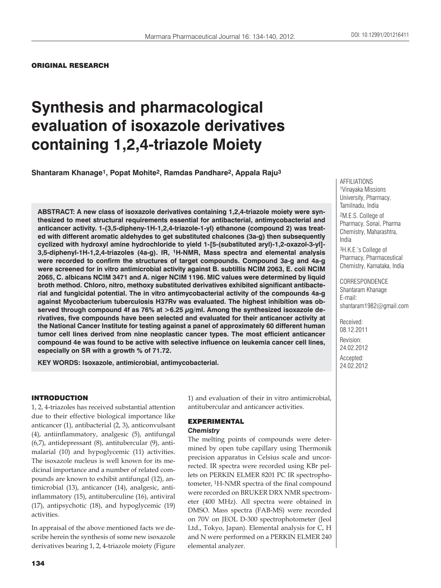## ORIGINAL RESEARCH

# **Synthesis and pharmacological evaluation of isoxazole derivatives containing 1,2,4-triazole Moiety**

**Shantaram Khanage1, Popat Mohite2, Ramdas Pandhare2, Appala Raju3**

**ABSTRACT: A new class of isoxazole derivatives containing 1,2,4-triazole moiety were synthesized to meet structural requirements essential for antibacterial, antimycobacterial and anticancer activity. 1-(3,5-dipheny-1H-1,2,4-triazole-1-yl) ethanone (compound 2) was treated with different aromatic aldehydes to get substituted chalcones (3a-g) then subsequently cyclized with hydroxyl amine hydrochloride to yield 1-[5-(substituted aryl)-1,2-oxazol-3-yl]- 3,5-diphenyl-1H-1,2,4-triazoles (4a-g). IR, 1H-NMR, Mass spectra and elemental analysis were recorded to confirm the structures of target compounds. Compound 3a-g and 4a-g were screened for in vitro antimicrobial activity against B. subtillis NCIM 2063, E. coli NCIM 2065, C. albicans NCIM 3471 and A. niger NCIM 1196. MIC values were determined by liquid broth method. Chloro, nitro, methoxy substituted derivatives exhibited significant antibacterial and fungicidal potential. The in vitro antimycobacterial activity of the compounds 4a-g against Mycobacterium tuberculosis H37Rv was evaluated. The highest inhibition was observed through compound 4f as 76% at >6.25 μg/ml. Among the synthesized isoxazole derivatives, five compounds have been selected and evaluated for their anticancer activity at the National Cancer Institute for testing against a panel of approximately 60 different human tumor cell lines derived from nine neoplastic cancer types. The most efficient anticancer compound 4e was found to be active with selective influence on leukemia cancer cell lines, especially on SR with a growth % of 71.72.**

**KEY WORDS: Isoxazole, antimicrobial, antimycobacterial.**

## INTRODUCTION

1, 2, 4-triazoles has received substantial attention due to their effective biological importance like anticancer (1), antibacterial (2, 3), anticonvulsant (4), antiinflammatory, analgesic (5), antifungal (6,7), antidepressant (8), antitubercular (9), antimalarial (10) and hypoglycemic (11) activities. The isoxazole nucleus is well known for its medicinal importance and a number of related compounds are known to exhibit antifungal (12), antimicrobial (13), anticancer (14), analgesic, antiinflammatory (15), antituberculine (16), antiviral (17), antipsychotic (18), and hypoglycemic (19) activities.

In appraisal of the above mentioned facts we describe herein the synthesis of some new isoxazole derivatives bearing 1, 2, 4-triazole moiety (Figure 1) and evaluation of their in vitro antimicrobial, antitubercular and anticancer activities.

# EXPERIMENTAL *Chemistry*

The melting points of compounds were determined by open tube capillary using Thermonik precision apparatus in Celsius scale and uncorrected. IR spectra were recorded using KBr pellets on PERKIN ELMER 8201 PC IR spectrophotometer, 1H-NMR spectra of the final compound were recorded on BRUKER DRX NMR spectrometer (400 MHz). All spectra were obtained in DMSO. Mass spectra (FAB-MS) were recorded on 70V on JEOL D-300 spectrophotometer (Jeol Ltd., Tokyo, Japan). Elemental analysis for C, H and N were performed on a PERKIN ELMER 240 elemental analyzer.

AFFILIATIONS 1Vinayaka Missions University, Pharmacy, Tamilnadu, India 2M.E.S. College of Pharmacy, Sonai, Pharma Chemistry, Maharashtra, India 3H.K.E.'s College of

Pharmacy, Pharmaceutical Chemistry, Karnataka, India

CORRESPONDENCE Shantaram Khanage E-mail: shantaram1982@gmail.com

Received: 08.12.2011 Revision: 24.02.2012 Accepted: 24.02.2012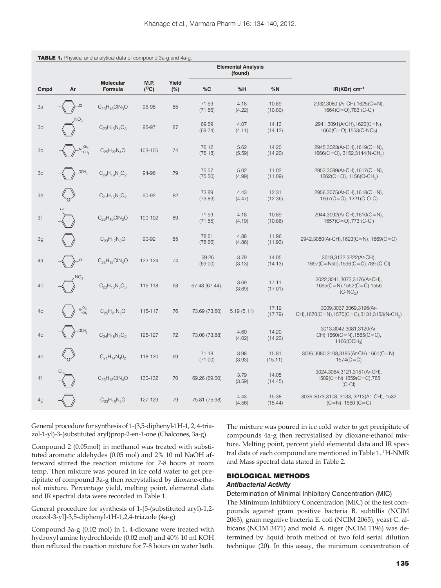|                |                              |                             |              |              |                  | <b>Elemental Analysis</b><br>(found) |                   |                                                                                      |
|----------------|------------------------------|-----------------------------|--------------|--------------|------------------|--------------------------------------|-------------------|--------------------------------------------------------------------------------------|
| Cmpd           | Ar                           | <b>Molecular</b><br>Formula | M.P.<br>(°C) | Yield<br>(%) | %C               | %H                                   | %N                | $IR(KBr)$ cm <sup>-1</sup>                                                           |
| 3a             | CI,                          | $C_{23}H_{16}CIN_3O$        | 96-98        | 85           | 71.59<br>(71.56) | 4.18<br>(4.22)                       | 10.89<br>(10.80)  | 2932,3080 (Ar-CH),1625(C=N),<br>$1664(C=O)$ ,783 (C-Cl)                              |
| 3b             | NO <sub>2</sub>              | $C_{23}H_{16}N_4O_3$        | 95-97        | 87           | 69.69<br>(69.74) | 4.07<br>(4.11)                       | 14.13<br>(14.12)  | 2941,3091(ArCH),1620(C=N),<br>$1660(C=O), 1553(C-NO2)$                               |
| 3 <sub>c</sub> | CH <sub>3</sub><br>.<br>-СН, | $C_{25}H_{22}N_{4}O$        | 103-105      | 74           | 76.12<br>(76.18) | 5.62<br>(5.59)                       | 14.20<br>(14.20)  | 2945,3023(Ar-CH),1619(C=N),<br>$1666(C=O)$ , 3152,3144(N-CH <sub>3</sub> )           |
| 3d             | 20CH <sub>3</sub>            | $C_{24}H_{19}N_3O_2$        | 94-96        | 79           | 75.57<br>(75.50) | 5.02<br>(4.99)                       | 11.02<br>(11.09)  | 2953,3089(Ar-CH),1617(C=N),<br>1662(C=O), 1156(O-CH <sub>3</sub> )                   |
| 3e             |                              | $C_{21}H_{15}N_3O_2$        | 90-92        | 82           | 73.89<br>(73.83) | 4.43<br>(4.47)                       | 12.31<br>(12.36)  | 2956,3075(Ar-CH),1618(C=N),<br>$1667(C=O)$ , $1221(C-O-C)$                           |
| 3f             |                              | $C_{23}H_{16}CIN_3O$        | 100-102      | 89           | 71.59<br>(71.55) | 4.18<br>(4.19)                       | 10.89<br>(10.86)  | 2944,3092(Ar-CH),1610(C=N),<br>$1657(C=O),773(C-CI)$                                 |
| 3g             |                              | $C_{23}H_{17}N_3O$          | 90-92        | 85           | 78.61<br>(78.66) | 4.88<br>(4.86)                       | 11.96<br>(11.93)  | 2942,3080(Ar-CH),1623(C=N), 1669(C=O)                                                |
| 4a             |                              | $C_{23}H_{15}CIN_4O$        | 122-124      | 74           | 69.26<br>(69.00) | 3.79<br>(3.13)                       | 14.05<br>(14.13)  | 3019,3132,3222(Ar-CH),<br>1697(C=Nstr), 1596(C=C), 789 (C-Cl)                        |
| 4b             | NO <sub>2</sub>              | $C_{23}H_{15}N_5O_3$        | 116-118      | 68           | 67.48 (67.44).   | 3.69<br>(3.69)                       | 17.11<br>(17.01)  | 3022,3041,3073,3176(Ar-CH),<br>$1665(C=N), 1552(C=C), 1556$<br>$(C-NO2)$             |
| 4c             | $K_{CH_2}^{CH_3}$            | $C_{25}H_{21}N_5O$          | 115-117      | 76           | 73.69 (73.60)    | 5.19(5.11)                           | 17.19<br>(17.79)  | 3009,3037,3069,3196(Ar-<br>CH), 1670(C=N), 1570(C=C), 3131, 3153(N-CH <sub>3</sub> ) |
| 4d             | LOCH <sub>3</sub>            | $C_{24}H_{18}N_{4}O_{2}$    | 125-127      | 72           | 73.08 (73.88)    | 4.60<br>(4.02)                       | 14.20<br>(14.22)  | 3013,3042,3081,3120(Ar-<br>$CH$ ), 1660(C=N), 1565(C=C),<br>1166( $OCH_3$ )          |
| 4e             |                              | $C_{21}H_{14}N_{4}O_{2}$    | 118-120      | 69           | 71.18<br>(71.00) | 3.98<br>(3.93)                       | 15.81<br>(15.11). | 3036,3080,3108,3195(Ar-CH) 1661(C=N),<br>$1574(C=C)$                                 |
| 4f             |                              | $C_{23}H_{15}CIN_4O$        | 130-132      | 70           | 69.26 (69.00)    | 3.79<br>(3.59)                       | 14.05<br>(14.45)  | 3024,3064,3121,3151(Ar-CH),<br>$1509(C=N), 1659(C=C), 765$<br>$(C-CI)$               |
| 4g             |                              | $C_{23}H_{16}N_4O$          | 127-129      | 79           | 75.81 (75.98)    | 4.43<br>(4.56)                       | 15.38<br>(15.44)  | 3036, 3073, 3108, 3133, 3213 (Ar- CH), 1532<br>$(C=N)$ , 1560 $(C=C)$                |

|  |  |  | TABLE 1. Physical and analytical data of compound 3a-g and 4a-g. |  |
|--|--|--|------------------------------------------------------------------|--|
|--|--|--|------------------------------------------------------------------|--|

General procedure for synthesis of 1-(3,5-diphenyl-1H-1, 2, 4-triazol-1-yl)-3-(substituted aryl)prop-2-en-1-one (Chalcones, 3a-g)

Compound 2 (0.05mol) in methanol was treated with substituted aromatic aldehydes (0.05 mol) and 2% 10 ml NaOH afterward stirred the reaction mixture for 7-8 hours at room temp. Then mixture was poured in ice cold water to get precipitate of compound 3a-g then recrystalised by dioxane-ethanol mixture. Percentage yield, melting point, elemental data and IR spectral data were recorded in Table 1.

General procedure for synthesis of 1-[5-(substituted aryl)-1,2 oxazol-3-yl]-3,5-diphenyl-1H-1,2,4-triazole (4a-g)

Compound 3a-g (0.02 mol) in 1, 4-dioxane were treated with hydroxyl amine hydrochloride (0.02 mol) and 40% 10 ml KOH then refluxed the reaction mixture for 7-8 hours on water bath.

The mixture was poured in ice cold water to get precipitate of compounds 4a-g then recrystalised by dioxane-ethanol mixture. Melting point, percent yield elemental data and IR spectral data of each compound are mentioned in Table 1. 1H-NMR and Mass spectral data stated in Table 2.

## BIOLOGICAL METHODS *Antibacterial Activity*

Determination of Minimal Inhibitory Concentration (MIC)

The Minimum Inhibitory Concentration (MIC) of the test compounds against gram positive bacteria B. subtillis (NCIM 2063), gram negative bacteria E. coli (NCIM 2065), yeast C. albicans (NCIM 3471) and mold A. niger (NCIM 1196) was determined by liquid broth method of two fold serial dilution technique (20). In this assay, the minimum concentration of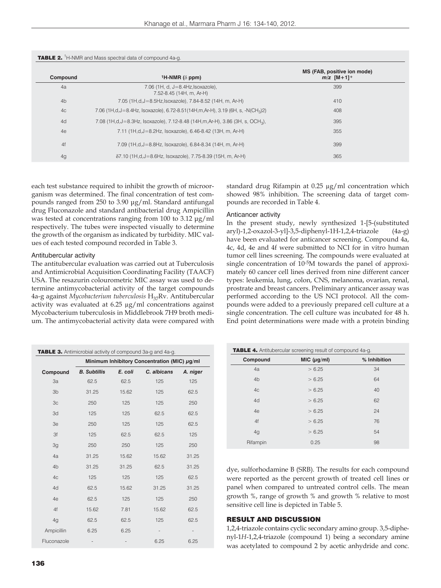| Compound       | <sup>1</sup> H-NMR ( $\delta$ ppm)                                                         | MS (FAB, positive ion mode)<br>$m/z$ [M+1] <sup>+</sup> |
|----------------|--------------------------------------------------------------------------------------------|---------------------------------------------------------|
| 4a             | 7.06 (1H, d, J=8.4Hz, Isoxazole),<br>7.52-8.45 (14H, m, Ar-H)                              | 399                                                     |
| 4 <sub>b</sub> | 7.05 (1H,d,J=8.5Hz,Isoxazole), 7.84-8.52 (14H, m, Ar-H)                                    | 410                                                     |
| 4 <sub>c</sub> | 7.06 (1H,d,J=8.4Hz, Isoxazole), 6.72-8.51(14H,m,Ar-H), 3.19 (6H, s, -N(CH <sub>3</sub> )2) | 408                                                     |
| 4d             | 7.08 (1H,d,J=8.3Hz, Isoxazole), 7.12-8.48 (14H,m,Ar-H), 3.86 (3H, s, OCH <sub>3</sub> ),   | 395                                                     |
| 4e             | 7.11 (1H,d, J = 8.2Hz, Isoxazole), 6.46-8.42 (13H, m, Ar-H)                                | 355                                                     |
| 4f             | 7.09 (1H,d,J=8.8Hz, Isoxazole), 6.84-8.34 (14H, m, Ar-H)                                   | 399                                                     |
| 4g             | $\delta$ 7.10 (1H,d,J=8.6Hz, Isoxazole), 7.75-8.39 (15H, m, Ar-H)                          | 365                                                     |

**TABLE 2.** <sup>1</sup>H-NMR and Mass spectral data of compound 4a-c.

each test substance required to inhibit the growth of microorganism was determined. The final concentration of test compounds ranged from 250 to 3.90 μg/ml. Standard antifungal drug Fluconazole and standard antibacterial drug Ampicillin was tested at concentrations ranging from 100 to 3.12 μg/ml respectively. The tubes were inspected visually to determine the growth of the organism as indicated by turbidity. MIC values of each tested compound recorded in Table 3.

# Antitubercular activity

The antitubercular evaluation was carried out at Tuberculosis and Antimicrobial Acquisition Coordinating Facility (TAACF) USA. The resazurin colourometric MIC assay was used to determine antimycobacterial activity of the target compounds 4a-g against *Mycobacterium tuberculosis* H37Rv. Antitubercular activity was evaluated at 6.25 μg/ml concentrations against Mycobacterium tuberculosis in Middlebrook 7H9 broth medium. The antimycobacterial activity data were compared with standard drug Rifampin at 0.25 μg/ml concentration which showed 98% inhibition. The screening data of target compounds are recorded in Table 4.

#### Anticancer activity

In the present study, newly synthesized 1-[5-(substituted aryl)-1,2-oxazol-3-yl]-3,5-diphenyl-1H-1,2,4-triazole (4a-g) have been evaluated for anticancer screening. Compound 4a, 4c, 4d, 4e and 4f were submitted to NCI for in vitro human tumor cell lines screening. The compounds were evaluated at single concentration of 10-5M towards the panel of approximately 60 cancer cell lines derived from nine different cancer types: leukemia, lung, colon, CNS, melanoma, ovarian, renal, prostrate and breast cancers. Preliminary anticancer assay was performed according to the US NCI protocol. All the compounds were added to a previously prepared cell culture at a single concentration. The cell culture was incubated for 48 h. End point determinations were made with a protein binding

| TABLE 3. Antimicrobial activity of compound 3a-g and 4a-g. |                                              |         |             |                              |  |  |  |
|------------------------------------------------------------|----------------------------------------------|---------|-------------|------------------------------|--|--|--|
|                                                            | Minimum Inhibitory Concentration (MIC) µg/ml |         |             |                              |  |  |  |
| Compound                                                   | <b>B.</b> Subtillis                          | E. coli | C. albicans | A. niger                     |  |  |  |
| 3a                                                         | 62.5                                         | 62.5    | 125         | 125                          |  |  |  |
| 3 <sub>b</sub>                                             | 31.25                                        | 15.62   | 125         | 62.5                         |  |  |  |
| 3 <sub>c</sub>                                             | 250                                          | 125     | 125         | 250                          |  |  |  |
| 3d                                                         | 125                                          | 125     | 62.5        | 62.5                         |  |  |  |
| 3e                                                         | 250                                          | 125     | 125         | 62.5                         |  |  |  |
| 3f                                                         | 125                                          | 62.5    | 62.5        | 125                          |  |  |  |
| 3g                                                         | 250                                          | 250     | 125         | 250                          |  |  |  |
| 4a                                                         | 31.25                                        | 15.62   | 15.62       | 31.25                        |  |  |  |
| 4 <sub>b</sub>                                             | 31.25                                        | 31.25   | 62.5        | 31.25                        |  |  |  |
| 4c                                                         | 125                                          | 125     | 125         | 62.5                         |  |  |  |
| 4d                                                         | 62.5                                         | 15.62   | 31.25       | 31.25                        |  |  |  |
| 4e                                                         | 62.5                                         | 125     | 125         | 250                          |  |  |  |
| 4f                                                         | 15.62                                        | 7.81    | 15.62       | 62.5                         |  |  |  |
| 4g                                                         | 62.5                                         | 62.5    | 125         | 62.5                         |  |  |  |
| Ampicillin                                                 | 6.25                                         | 6.25    |             | $\qquad \qquad \blacksquare$ |  |  |  |
| Fluconazole                                                |                                              |         | 6.25        | 6.25                         |  |  |  |

| <b>TABLE 4.</b> Antitubercular screening result of compound 4a-g. |                  |              |  |  |  |  |
|-------------------------------------------------------------------|------------------|--------------|--|--|--|--|
| Compound                                                          | MIC $(\mu g/ml)$ | % Inhibition |  |  |  |  |
| 4a                                                                | > 6.25           | 34           |  |  |  |  |
| 4 <sub>b</sub>                                                    | > 6.25           | 64           |  |  |  |  |
| 4 <sub>c</sub>                                                    | > 6.25           | 40           |  |  |  |  |
| 4d                                                                | > 6.25           | 62           |  |  |  |  |
| 4e                                                                | > 6.25           | 24           |  |  |  |  |
| 4f                                                                | > 6.25           | 76           |  |  |  |  |
| 4g                                                                | > 6.25           | 54           |  |  |  |  |
| Rifampin                                                          | 0.25             | 98           |  |  |  |  |
|                                                                   |                  |              |  |  |  |  |

dye, sulforhodamine B (SRB). The results for each compound were reported as the percent growth of treated cell lines or panel when compared to untreated control cells. The mean growth %, range of growth % and growth % relative to most sensitive cell line is depicted in Table 5.

## RESULT AND DISCUSSION

1,2,4-triazole contains cyclic secondary amino group. 3,5-diphenyl-1*H*-1,2,4-triazole (compound 1) being a secondary amine was acetylated to compound 2 by acetic anhydride and conc.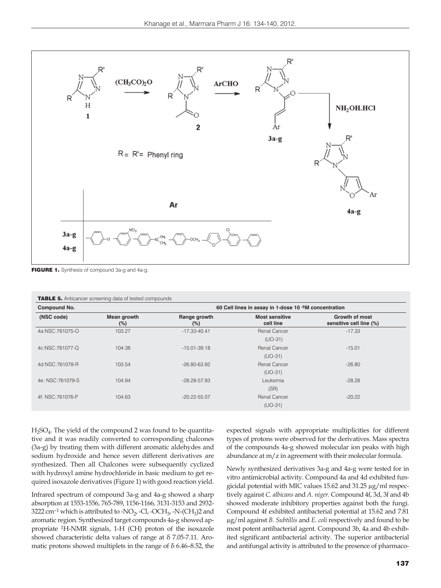

FIGURE 1. Synthesis of compound 3a-g and 4a-g.

| Compound No.     |                    | 60 Cell lines in assay in 1-dose 10 - 5M concentration |                                    |                                                  |  |  |
|------------------|--------------------|--------------------------------------------------------|------------------------------------|--------------------------------------------------|--|--|
| (NSC code)       | Mean growth<br>(%) | Range growth<br>(%)                                    | <b>Most sensitive</b><br>cell line | <b>Growth of most</b><br>sensitive cell line (%) |  |  |
| 4a:NSC:761075-O  | 103.27             | $-17.33 - 40.41$                                       | Renal Cancer                       | $-17.33$                                         |  |  |
|                  |                    |                                                        | $(UD-31)$                          |                                                  |  |  |
| 4c:NSC:761077-Q  | 104.38             | $-15.01 - 39.18$                                       | Renal Cancer                       | $-15.01$                                         |  |  |
|                  |                    |                                                        | $(UD-31)$                          |                                                  |  |  |
| 4d:NSC:761078-R  | 103.54             | $-26.80 - 63.92$                                       | <b>Renal Cancer</b>                | $-26.80$                                         |  |  |
|                  |                    |                                                        | $(UD-31)$                          |                                                  |  |  |
| 4e: NSC:761079-S | 104.94             | $-28.28 - 57.93$                                       | Leukemia                           | $-28.28$                                         |  |  |
|                  |                    |                                                        | (SR)                               |                                                  |  |  |
| 4f: NSC:761076-P | 104.63             | $-20.22 - 55.07$                                       | Renal Cancer                       | $-20.22$                                         |  |  |
|                  |                    |                                                        | $(UD-31)$                          |                                                  |  |  |

 $H_2SO_4$ . The yield of the compound 2 was found to be quantitative and it was readily converted to corresponding chalcones (3a-g) by treating them with different aromatic aldehydes and sodium hydroxide and hence seven different derivatives are synthesized. Then all Chalcones were subsequently cyclized with hydroxyl amine hydrochloride in basic medium to get required isoxazole derivatives (Figure 1) with good reaction yield.

Infrared spectrum of compound 3a-g and 4a-g showed a sharp absorption at 1553-1556, 765-789, 1156-1166, 3131-3153 and 2932- 3222 cm<sup>-1</sup> which is attributed to -NO<sub>2</sub>, -Cl, -OCH<sub>3</sub>, -N-(CH<sub>3</sub>)2 and aromatic region. Synthesized target compounds 4a-g showed appropriate 1H-NMR signals, 1-H (CH) proton of the isoxazole showed characteristic delta values of range at δ 7.05-7.11. Aromatic protons showed multiplets in the range of δ 6.46–8.52, the expected signals with appropriate multiplicities for different types of protons were observed for the derivatives. Mass spectra of the compounds 4a-g showed molecular ion peaks with high abundance at m/z in agreement with their molecular formula.

Newly synthesized derivatives 3a-g and 4a-g were tested for in vitro antimicrobial activity. Compound 4a and 4d exhibited fungicidal potential with MIC values 15.62 and 31.25 μg/ml respectively against *C. albicans* and *A. niger.* Compound 4f, 3d, 3f and 4b showed moderate inhibitory properties against both the fungi. Compound 4f exhibited antibacterial potential at 15.62 and 7.81 μg/ml against *B. Subtillis* and *E. coli* respectively and found to be most potent antibacterial agent. Compound 3b, 4a and 4b exhibited significant antibacterial activity. The superior antibacterial and antifungal activity is attributed to the presence of pharmaco-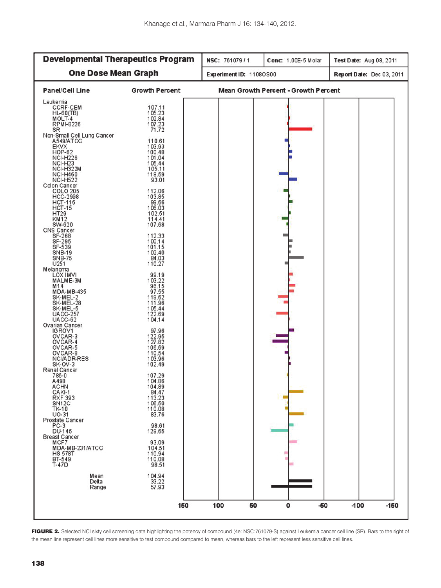| <b>Developmental Therapeutics Program</b>                                                                                                                                                                                                                                                                                                                                                                                                                                                                                                                                                                                                                                                                                                                                                                                                                                                                                                                      |                                                                                                                                                                                                                                                                                                                                                                                                                                                                                                                                                                  | NSC: 761079/1           | Conc: 1.00E-5 Molar                         | Test Date: Aug 08, 2011   |  |
|----------------------------------------------------------------------------------------------------------------------------------------------------------------------------------------------------------------------------------------------------------------------------------------------------------------------------------------------------------------------------------------------------------------------------------------------------------------------------------------------------------------------------------------------------------------------------------------------------------------------------------------------------------------------------------------------------------------------------------------------------------------------------------------------------------------------------------------------------------------------------------------------------------------------------------------------------------------|------------------------------------------------------------------------------------------------------------------------------------------------------------------------------------------------------------------------------------------------------------------------------------------------------------------------------------------------------------------------------------------------------------------------------------------------------------------------------------------------------------------------------------------------------------------|-------------------------|---------------------------------------------|---------------------------|--|
| <b>One Dose Mean Graph</b>                                                                                                                                                                                                                                                                                                                                                                                                                                                                                                                                                                                                                                                                                                                                                                                                                                                                                                                                     |                                                                                                                                                                                                                                                                                                                                                                                                                                                                                                                                                                  | Experiment ID: 11080S00 |                                             | Report Date: Dec 03, 2011 |  |
| <b>Panel/Cell Line</b>                                                                                                                                                                                                                                                                                                                                                                                                                                                                                                                                                                                                                                                                                                                                                                                                                                                                                                                                         | <b>Growth Percent</b>                                                                                                                                                                                                                                                                                                                                                                                                                                                                                                                                            |                         | <b>Mean Growth Percent - Growth Percent</b> |                           |  |
| Leukemia<br><b>CCRF-CEM</b><br>$HL-60(TB)$<br>MOLT-4<br><b>RPMI-8226</b><br>SR<br>Non-Small Cell Lung Cancer<br>A549/ATCC<br><b>EKVX</b><br>HOP-62<br><b>NCI-H226</b><br><b>NCI-H23</b><br>NCI-H322M<br><b>NCI-H460</b><br><b>NCI-H522</b><br>Colon Cancer<br><b>COLO 205</b><br><b>HCC-2998</b><br><b>HCT-116</b><br><b>HCT-15</b><br>HT29<br><b>KM12</b><br>SW-620<br>CNS Cancer<br>SF-268<br>SF-295<br>SF-539<br><b>SNB-19</b><br>SNB-75<br>U251<br>Melanoma<br><b>LOX IMVI</b><br>MALME-3M<br>M <sub>14</sub><br>MDA-MB-435<br>SK-MEL-2<br>SK-MEL-28<br>SK-MEL-5<br><b>UACC-257</b><br>UACC-62<br>Ovarian Cancer<br>IGROV1<br>OVCAR-3<br>OVCAR-4<br>OVCAR-5<br>OVCAR-8<br>NCI/ADR-RES<br>SK-OV-3<br>Renal Cancer<br>786-0<br>A498<br><b>ACHN</b><br>CAKI-1<br><b>RXF 393</b><br>SN <sub>12</sub> C<br><b>TK-10</b><br>$UO-31$<br>Prostate Cancer<br>$PC-3$<br><b>DU-145</b><br><b>Breast Cancer</b><br>MCF7<br>MDA-MB-231/ATCC<br><b>HS 578T</b><br>BT-549 | 107.11<br>105.23<br>102.84<br>107.23<br>71.72<br>110.61<br>103.93<br>100.48<br>101.04<br>105.44<br>105.11<br>118.59<br>93.01<br>112.06<br>103.85<br>99.66<br>106.03<br>102.51<br>114.41<br>107.68<br>112.33<br>100.14<br>101.15<br>102.40<br>84.03<br>110.27<br>99.19<br>103.22<br>96.15<br>97.55<br>119.62<br>111.96<br>105.44<br>122.69<br>104.14<br>97.96<br>122.95<br>127.82<br>106.69<br>110.54<br>103.96<br>102.49<br>107.29<br>104.86<br>104.89<br>84.47<br>113.23<br>106.50<br>110.08<br>83.76<br>98.61<br>129.65<br>93.09<br>104.51<br>110.94<br>110.08 |                         |                                             |                           |  |
| $T-47D$<br>Mean<br>Delta                                                                                                                                                                                                                                                                                                                                                                                                                                                                                                                                                                                                                                                                                                                                                                                                                                                                                                                                       | 98.51<br>104.94<br>33.22                                                                                                                                                                                                                                                                                                                                                                                                                                                                                                                                         |                         |                                             |                           |  |
| Range                                                                                                                                                                                                                                                                                                                                                                                                                                                                                                                                                                                                                                                                                                                                                                                                                                                                                                                                                          | 57.93                                                                                                                                                                                                                                                                                                                                                                                                                                                                                                                                                            |                         |                                             |                           |  |
|                                                                                                                                                                                                                                                                                                                                                                                                                                                                                                                                                                                                                                                                                                                                                                                                                                                                                                                                                                | 150                                                                                                                                                                                                                                                                                                                                                                                                                                                                                                                                                              | 100<br>50               | $\mathbf 0$<br>-50                          | $-100$<br>$-150$          |  |

FIGURE 2. Selected NCI sixty cell screening data highlighting the potency of compound (4e: NSC:761079-S) against Leukemia cancer cell line (SR). Bars to the right of the mean line represent cell lines more sensitive to test compound compared to mean, whereas bars to the left represent less sensitive cell lines.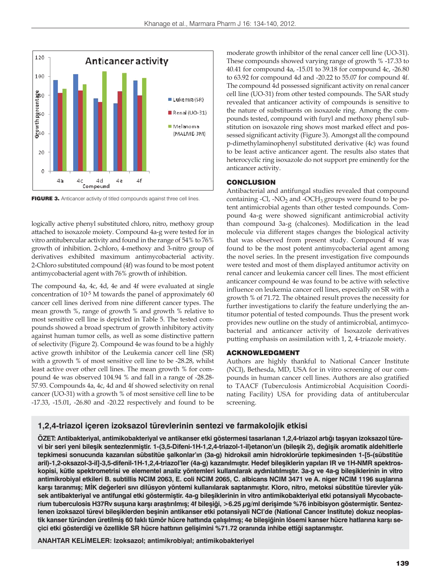

FIGURE 3. Anticancer activity of titled compounds against three cell lines.

logically active phenyl substituted chloro, nitro, methoxy group attached to isoxazole moiety. Compound 4a-g were tested for in vitro antitubercular activity and found in the range of 54% to 76% growth of inhibition. 2-chloro, 4-methoxy and 3-nitro group of derivatives exhibited maximum antimycobacterial activity. 2-Chloro substituted compound (4f) was found to be most potent antimycobacterial agent with 76% growth of inhibition.

The compound 4a, 4c, 4d, 4e and 4f were evaluated at single concentration of 10-5 M towards the panel of approximately 60 cancer cell lines derived from nine different cancer types. The mean growth %, range of growth % and growth % relative to most sensitive cell line is depicted in Table 5. The tested compounds showed a broad spectrum of growth inhibitory activity against human tumor cells, as well as some distinctive pattern of selectivity (Figure 2). Compound 4e was found to be a highly active growth inhibitor of the Leukemia cancer cell line (SR) with a growth % of most sensitive cell line to be -28.28, whilst least active over other cell lines. The mean growth % for compound 4e was observed 104.94 % and fall in a range of -28.28- 57.93. Compounds 4a, 4c, 4d and 4f showed selectivity on renal cancer (UO-31) with a growth % of most sensitive cell line to be -17.33, -15.01, -26.80 and -20.22 respectively and found to be moderate growth inhibitor of the renal cancer cell line (UO-31). These compounds showed varying range of growth % -17.33 to 40.41 for compound 4a, -15.01 to 39.18 for compound 4c, -26.80 to 63.92 for compound 4d and -20.22 to 55.07 for compound 4f. The compound 4d possessed significant activity on renal cancer cell line (UO-31) from other tested compounds. The SAR study revealed that anticancer activity of compounds is sensitive to the nature of substituents on isoxazole ring. Among the compounds tested, compound with furyl and methoxy phenyl substitution on isoxazole ring shows most marked effect and possessed significant activity (Figure 3). Amongst all the compound p-dimethylaminophenyl substituted derivative (4c) was found to be least active anticancer agent. The results also states that heterocyclic ring isoxazole do not support pre eminently for the anticancer activity.

# **CONCLUSION**

Antibacterial and antifungal studies revealed that compound containing -Cl, -NO<sub>2</sub> and -OCH<sub>3</sub> groups were found to be potent antimicrobial agents than other tested compounds. Compound 4a-g were showed significant antimicrobial activity than compound 3a-g (chalcones). Modification in the lead molecule via different stages changes the biological activity that was observed from present study. Compound 4f was found to be the most potent antimycobacterial agent among the novel series. In the present investigation five compounds were tested and most of them displayed antitumor activity on renal cancer and leukemia cancer cell lines. The most efficient anticancer compound 4e was found to be active with selective influence on leukemia cancer cell lines, especially on SR with a growth % of 71.72. The obtained result proves the necessity for further investigations to clarify the feature underlying the antitumor potential of tested compounds. Thus the present work provides new outline on the study of antimicrobial, antimycobacterial and anticancer activity of Isoxazole derivatives putting emphasis on assimilation with 1, 2, 4-triazole moiety.

## ACKNOWLEDGMENT

Authors are highly thankful to National Cancer Institute (NCI), Bethesda, MD, USA for in vitro screening of our compounds in human cancer cell lines. Authors are also gratified to TAACF (Tuberculosis Antimicrobial Acquisition Coordinating Facility) USA for providing data of antitubercular screening.

# **1,2,4-triazol içeren izoksazol türevlerinin sentezi ve farmakolojik etkisi**

**ÖZET: Antibakteriyal, antimikobakteriyal ve antikanser etki göstermesi tasarlanan 1,2,4-triazol artığı taşıyan izoksazol türevi bir seri yeni bileşik sentezlenmiştir. 1-(3,5-Difeni-1H-1,2,4-triazol-1-il)etanon'un (bileşik 2), değişik aromatik aldehitlerle tepkimesi sonucunda kazanılan sübstitüe şalkonlar'ın (3a-g) hidroksil amin hidroklorürle tepkimesinden 1-[5-(sübstitüe aril)-1,2-oksazol-3-il]-3,5-difenil-1H-1,2,4-triazol'ler (4a-g) kazanılmıştır. Hedef bileşiklerin yapıları IR ve 1H-NMR spektroskopisi, kütle spektrometrisi ve elementel analiz yöntemleri kullanılarak aydınlatılmıştır. 3a-g ve 4a-g bileşiklerinin in vitro antimikrobiyal etkileri B. subtillis NCIM 2063, E. coli NCIM 2065, C. albicans NCIM 3471 ve A. niger NCIM 1196 suşlarına karşı taranmış; MİK değerleri sıvı dilüsyon yöntemi kullanılarak saptanmıştır. Kloro, nitro, metoksi sübstitüe türevler yüksek antibakteriyal ve antifungal etki göstermiştir. 4a-g bileşiklerinin in vitro antimikobakteriyal etki potansiyali Mycobacte**rium tuberculosis H37Rv suşuna karşı araştırılmış; 4f bileşiği, >6.25 µg/ml derişimde %76 inbibisyon göstermiştir. Sentez**lenen izoksazol türevi bileşiklerden beşinin antikanser etki potansiyali NCI'de (National Cancer Institute) dokuz neoplastik kanser türünden üretilmiş 60 faklı tümör hücre hattında çalışılmış; 4e bileşiğinin lösemi kanser hücre hatlarına karşı seçici etki gösterdiği ve özellikle SR hücre hattının gelişimini %71.72 oranında inhibe ettiği saptanmıştır.**

**ANAHTAR KELİMELER: Izoksazol; antimikrobiyal; antimikobakteriyel**